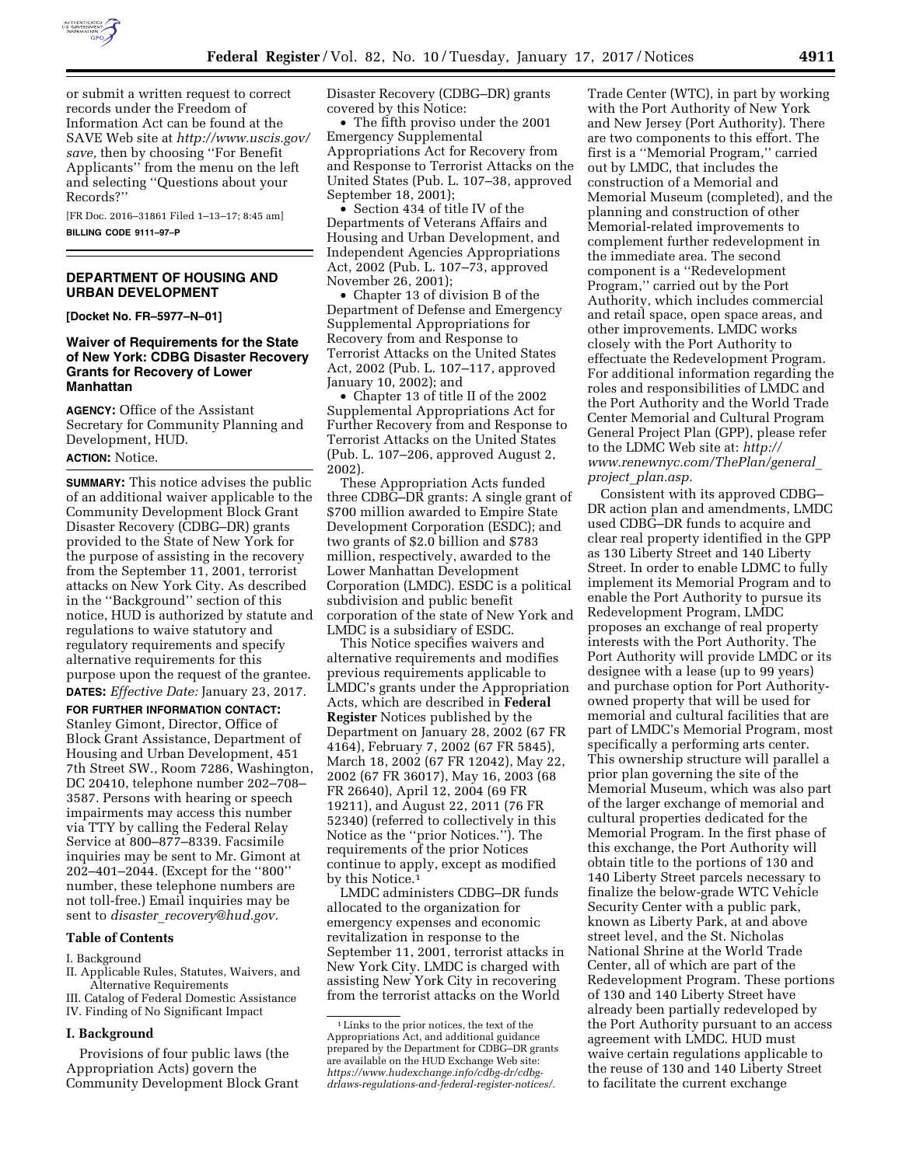

or submit a written request to correct records under the Freedom of Information Act can be found at the SAVE Web site at *[http://www.uscis.gov/](http://www.uscis.gov/save) [save,](http://www.uscis.gov/save)* then by choosing ''For Benefit Applicants'' from the menu on the left and selecting ''Questions about your Records?''

[FR Doc. 2016–31861 Filed 1–13–17; 8:45 am] **BILLING CODE 9111–97–P** 

# **DEPARTMENT OF HOUSING AND URBAN DEVELOPMENT**

**[Docket No. FR–5977–N–01]** 

# **Waiver of Requirements for the State of New York: CDBG Disaster Recovery Grants for Recovery of Lower Manhattan**

**AGENCY:** Office of the Assistant Secretary for Community Planning and Development, HUD.

### **ACTION:** Notice.

**SUMMARY:** This notice advises the public of an additional waiver applicable to the Community Development Block Grant Disaster Recovery (CDBG–DR) grants provided to the State of New York for the purpose of assisting in the recovery from the September 11, 2001, terrorist attacks on New York City. As described in the ''Background'' section of this notice, HUD is authorized by statute and regulations to waive statutory and regulatory requirements and specify alternative requirements for this purpose upon the request of the grantee. **DATES:** *Effective Date:* January 23, 2017.

**FOR FURTHER INFORMATION CONTACT:**  Stanley Gimont, Director, Office of Block Grant Assistance, Department of Housing and Urban Development, 451 7th Street SW., Room 7286, Washington, DC 20410, telephone number 202–708– 3587. Persons with hearing or speech impairments may access this number via TTY by calling the Federal Relay Service at 800–877–8339. Facsimile inquiries may be sent to Mr. Gimont at 202–401–2044. (Except for the ''800'' number, these telephone numbers are not toll-free.) Email inquiries may be sent to *disaster*\_*[recovery@hud.gov.](mailto:disaster_recovery@hud.gov)* 

# **Table of Contents**

I. Background

- II. Applicable Rules, Statutes, Waivers, and Alternative Requirements
- III. Catalog of Federal Domestic Assistance
- IV. Finding of No Significant Impact

## **I. Background**

Provisions of four public laws (the Appropriation Acts) govern the Community Development Block Grant Disaster Recovery (CDBG–DR) grants covered by this Notice:

• The fifth proviso under the 2001 Emergency Supplemental Appropriations Act for Recovery from and Response to Terrorist Attacks on the United States (Pub. L. 107–38, approved September 18, 2001);

• Section 434 of title IV of the Departments of Veterans Affairs and Housing and Urban Development, and Independent Agencies Appropriations Act, 2002 (Pub. L. 107–73, approved November 26, 2001);

• Chapter 13 of division B of the Department of Defense and Emergency Supplemental Appropriations for Recovery from and Response to Terrorist Attacks on the United States Act, 2002 (Pub. L. 107–117, approved January 10, 2002); and

• Chapter 13 of title II of the 2002 Supplemental Appropriations Act for Further Recovery from and Response to Terrorist Attacks on the United States (Pub. L. 107–206, approved August 2, 2002).

These Appropriation Acts funded three CDBG–DR grants: A single grant of \$700 million awarded to Empire State Development Corporation (ESDC); and two grants of \$2.0 billion and \$783 million, respectively, awarded to the Lower Manhattan Development Corporation (LMDC). ESDC is a political subdivision and public benefit corporation of the state of New York and LMDC is a subsidiary of ESDC.

This Notice specifies waivers and alternative requirements and modifies previous requirements applicable to LMDC's grants under the Appropriation Acts, which are described in **Federal Register** Notices published by the Department on January 28, 2002 (67 FR 4164), February 7, 2002 (67 FR 5845), March 18, 2002 (67 FR 12042), May 22, 2002 (67 FR 36017), May 16, 2003 (68 FR 26640), April 12, 2004 (69 FR 19211), and August 22, 2011 (76 FR 52340) (referred to collectively in this Notice as the ''prior Notices.''). The requirements of the prior Notices continue to apply, except as modified by this Notice.1

LMDC administers CDBG–DR funds allocated to the organization for emergency expenses and economic revitalization in response to the September 11, 2001, terrorist attacks in New York City. LMDC is charged with assisting New York City in recovering from the terrorist attacks on the World

Trade Center (WTC), in part by working with the Port Authority of New York and New Jersey (Port Authority). There are two components to this effort. The first is a ''Memorial Program,'' carried out by LMDC, that includes the construction of a Memorial and Memorial Museum (completed), and the planning and construction of other Memorial-related improvements to complement further redevelopment in the immediate area. The second component is a ''Redevelopment Program,'' carried out by the Port Authority, which includes commercial and retail space, open space areas, and other improvements. LMDC works closely with the Port Authority to effectuate the Redevelopment Program. For additional information regarding the roles and responsibilities of LMDC and the Port Authority and the World Trade Center Memorial and Cultural Program General Project Plan (GPP), please refer to the LDMC Web site at: *[http://](http://www.renewnyc.com/ThePlan/general_project_plan.asp) [www.renewnyc.com/ThePlan/general](http://www.renewnyc.com/ThePlan/general_project_plan.asp)*\_ *project*\_*[plan.asp.](http://www.renewnyc.com/ThePlan/general_project_plan.asp)* 

Consistent with its approved CDBG– DR action plan and amendments, LMDC used CDBG–DR funds to acquire and clear real property identified in the GPP as 130 Liberty Street and 140 Liberty Street. In order to enable LDMC to fully implement its Memorial Program and to enable the Port Authority to pursue its Redevelopment Program, LMDC proposes an exchange of real property interests with the Port Authority. The Port Authority will provide LMDC or its designee with a lease (up to 99 years) and purchase option for Port Authorityowned property that will be used for memorial and cultural facilities that are part of LMDC's Memorial Program, most specifically a performing arts center. This ownership structure will parallel a prior plan governing the site of the Memorial Museum, which was also part of the larger exchange of memorial and cultural properties dedicated for the Memorial Program. In the first phase of this exchange, the Port Authority will obtain title to the portions of 130 and 140 Liberty Street parcels necessary to finalize the below-grade WTC Vehicle Security Center with a public park, known as Liberty Park, at and above street level, and the St. Nicholas National Shrine at the World Trade Center, all of which are part of the Redevelopment Program. These portions of 130 and 140 Liberty Street have already been partially redeveloped by the Port Authority pursuant to an access agreement with LMDC. HUD must waive certain regulations applicable to the reuse of 130 and 140 Liberty Street to facilitate the current exchange

<sup>1</sup>Links to the prior notices, the text of the Appropriations Act, and additional guidance prepared by the Department for CDBG–DR grants are available on the HUD Exchange Web site: *[https://www.hudexchange.info/cdbg-dr/cdbg](https://www.hudexchange.info/cdbg-dr/cdbg-drlaws-regulations-and-federal-register-notices/)[drlaws-regulations-and-federal-register-notices/.](https://www.hudexchange.info/cdbg-dr/cdbg-drlaws-regulations-and-federal-register-notices/)*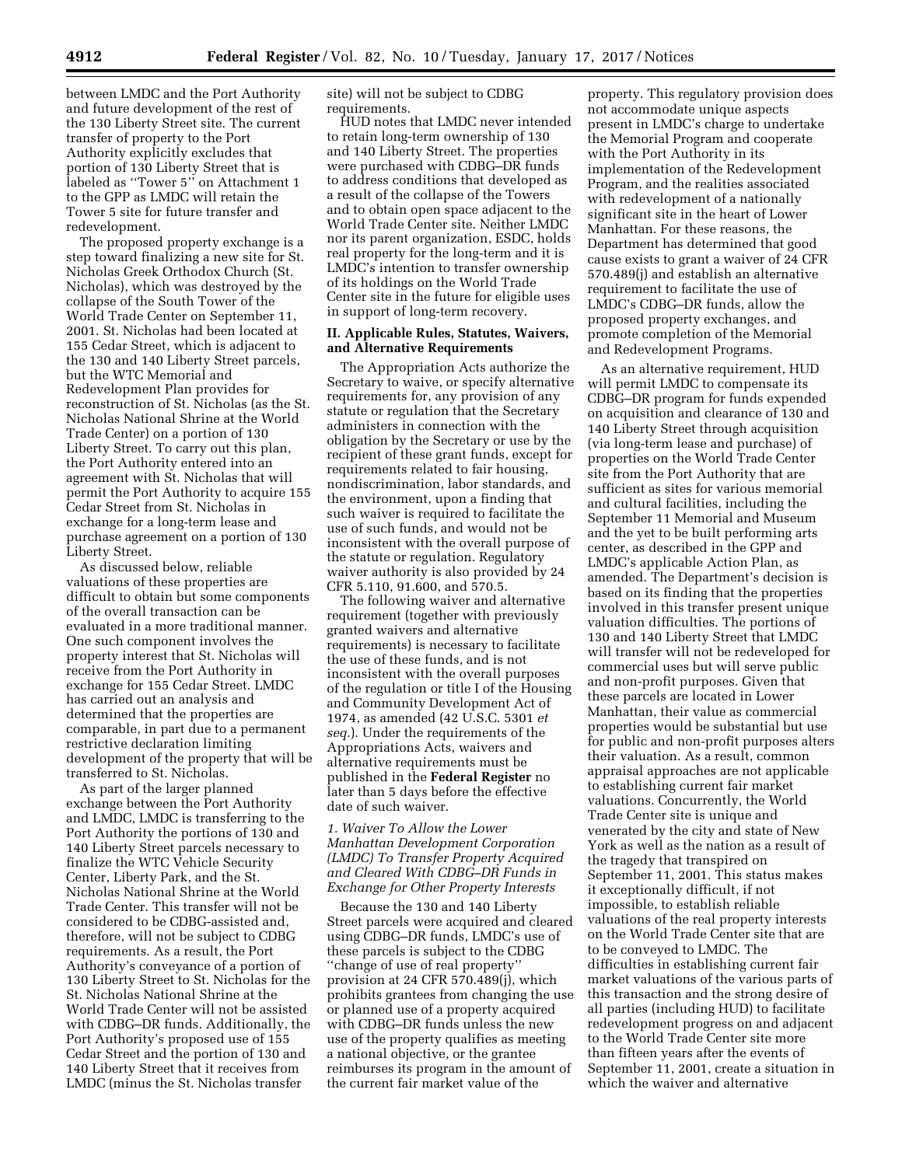between LMDC and the Port Authority and future development of the rest of the 130 Liberty Street site. The current transfer of property to the Port Authority explicitly excludes that portion of 130 Liberty Street that is labeled as ''Tower 5'' on Attachment 1 to the GPP as LMDC will retain the Tower 5 site for future transfer and redevelopment.

The proposed property exchange is a step toward finalizing a new site for St. Nicholas Greek Orthodox Church (St. Nicholas), which was destroyed by the collapse of the South Tower of the World Trade Center on September 11, 2001. St. Nicholas had been located at 155 Cedar Street, which is adjacent to the 130 and 140 Liberty Street parcels, but the WTC Memorial and Redevelopment Plan provides for reconstruction of St. Nicholas (as the St. Nicholas National Shrine at the World Trade Center) on a portion of 130 Liberty Street. To carry out this plan, the Port Authority entered into an agreement with St. Nicholas that will permit the Port Authority to acquire 155 Cedar Street from St. Nicholas in exchange for a long-term lease and purchase agreement on a portion of 130 Liberty Street.

As discussed below, reliable valuations of these properties are difficult to obtain but some components of the overall transaction can be evaluated in a more traditional manner. One such component involves the property interest that St. Nicholas will receive from the Port Authority in exchange for 155 Cedar Street. LMDC has carried out an analysis and determined that the properties are comparable, in part due to a permanent restrictive declaration limiting development of the property that will be transferred to St. Nicholas.

As part of the larger planned exchange between the Port Authority and LMDC, LMDC is transferring to the Port Authority the portions of 130 and 140 Liberty Street parcels necessary to finalize the WTC Vehicle Security Center, Liberty Park, and the St. Nicholas National Shrine at the World Trade Center. This transfer will not be considered to be CDBG-assisted and, therefore, will not be subject to CDBG requirements. As a result, the Port Authority's conveyance of a portion of 130 Liberty Street to St. Nicholas for the St. Nicholas National Shrine at the World Trade Center will not be assisted with CDBG–DR funds. Additionally, the Port Authority's proposed use of 155 Cedar Street and the portion of 130 and 140 Liberty Street that it receives from LMDC (minus the St. Nicholas transfer

site) will not be subject to CDBG requirements.

HUD notes that LMDC never intended to retain long-term ownership of 130 and 140 Liberty Street. The properties were purchased with CDBG–DR funds to address conditions that developed as a result of the collapse of the Towers and to obtain open space adjacent to the World Trade Center site. Neither LMDC nor its parent organization, ESDC, holds real property for the long-term and it is LMDC's intention to transfer ownership of its holdings on the World Trade Center site in the future for eligible uses in support of long-term recovery.

### **II. Applicable Rules, Statutes, Waivers, and Alternative Requirements**

The Appropriation Acts authorize the Secretary to waive, or specify alternative requirements for, any provision of any statute or regulation that the Secretary administers in connection with the obligation by the Secretary or use by the recipient of these grant funds, except for requirements related to fair housing, nondiscrimination, labor standards, and the environment, upon a finding that such waiver is required to facilitate the use of such funds, and would not be inconsistent with the overall purpose of the statute or regulation. Regulatory waiver authority is also provided by 24 CFR 5.110, 91.600, and 570.5.

The following waiver and alternative requirement (together with previously granted waivers and alternative requirements) is necessary to facilitate the use of these funds, and is not inconsistent with the overall purposes of the regulation or title I of the Housing and Community Development Act of 1974, as amended (42 U.S.C. 5301 *et seq.*). Under the requirements of the Appropriations Acts, waivers and alternative requirements must be published in the **Federal Register** no later than 5 days before the effective date of such waiver.

# *1. Waiver To Allow the Lower Manhattan Development Corporation (LMDC) To Transfer Property Acquired and Cleared With CDBG–DR Funds in Exchange for Other Property Interests*

Because the 130 and 140 Liberty Street parcels were acquired and cleared using CDBG–DR funds, LMDC's use of these parcels is subject to the CDBG ''change of use of real property'' provision at 24 CFR 570.489(j), which prohibits grantees from changing the use or planned use of a property acquired with CDBG–DR funds unless the new use of the property qualifies as meeting a national objective, or the grantee reimburses its program in the amount of the current fair market value of the

property. This regulatory provision does not accommodate unique aspects present in LMDC's charge to undertake the Memorial Program and cooperate with the Port Authority in its implementation of the Redevelopment Program, and the realities associated with redevelopment of a nationally significant site in the heart of Lower Manhattan. For these reasons, the Department has determined that good cause exists to grant a waiver of 24 CFR 570.489(j) and establish an alternative requirement to facilitate the use of LMDC's CDBG–DR funds, allow the proposed property exchanges, and promote completion of the Memorial and Redevelopment Programs.

As an alternative requirement, HUD will permit LMDC to compensate its CDBG–DR program for funds expended on acquisition and clearance of 130 and 140 Liberty Street through acquisition (via long-term lease and purchase) of properties on the World Trade Center site from the Port Authority that are sufficient as sites for various memorial and cultural facilities, including the September 11 Memorial and Museum and the yet to be built performing arts center, as described in the GPP and LMDC's applicable Action Plan, as amended. The Department's decision is based on its finding that the properties involved in this transfer present unique valuation difficulties. The portions of 130 and 140 Liberty Street that LMDC will transfer will not be redeveloped for commercial uses but will serve public and non-profit purposes. Given that these parcels are located in Lower Manhattan, their value as commercial properties would be substantial but use for public and non-profit purposes alters their valuation. As a result, common appraisal approaches are not applicable to establishing current fair market valuations. Concurrently, the World Trade Center site is unique and venerated by the city and state of New York as well as the nation as a result of the tragedy that transpired on September 11, 2001. This status makes it exceptionally difficult, if not impossible, to establish reliable valuations of the real property interests on the World Trade Center site that are to be conveyed to LMDC. The difficulties in establishing current fair market valuations of the various parts of this transaction and the strong desire of all parties (including HUD) to facilitate redevelopment progress on and adjacent to the World Trade Center site more than fifteen years after the events of September 11, 2001, create a situation in which the waiver and alternative